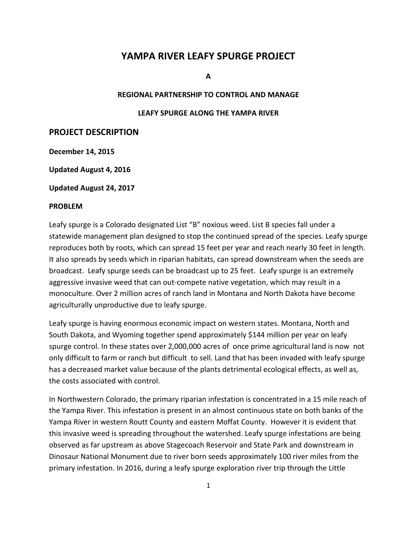# **YAMPA RIVER LEAFY SPURGE PROJECT**

**A**

## **REGIONAL PARTNERSHIP TO CONTROL AND MANAGE**

#### **LEAFY SPURGE ALONG THE YAMPA RIVER**

#### **PROJECT DESCRIPTION**

**December 14, 2015**

**Updated August 4, 2016**

**Updated August 24, 2017**

#### **PROBLEM**

Leafy spurge is a Colorado designated List "B" noxious weed. List B species fall under a statewide management plan designed to stop the continued spread of the species. Leafy spurge reproduces both by roots, which can spread 15 feet per year and reach nearly 30 feet in length. It also spreads by seeds which in riparian habitats, can spread downstream when the seeds are broadcast. Leafy spurge seeds can be broadcast up to 25 feet. Leafy spurge is an extremely aggressive invasive weed that can out-compete native vegetation, which may result in a monoculture. Over 2 million acres of ranch land in Montana and North Dakota have become agriculturally unproductive due to leafy spurge.

Leafy spurge is having enormous economic impact on western states. Montana, North and South Dakota, and Wyoming together spend approximately \$144 million per year on leafy spurge control. In these states over 2,000,000 acres of once prime agricultural land is now not only difficult to farm or ranch but difficult to sell. Land that has been invaded with leafy spurge has a decreased market value because of the plants detrimental ecological effects, as well as, the costs associated with control.

In Northwestern Colorado, the primary riparian infestation is concentrated in a 15 mile reach of the Yampa River. This infestation is present in an almost continuous state on both banks of the Yampa River in western Routt County and eastern Moffat County. However it is evident that this invasive weed is spreading throughout the watershed. Leafy spurge infestations are being observed as far upstream as above Stagecoach Reservoir and State Park and downstream in Dinosaur National Monument due to river born seeds approximately 100 river miles from the primary infestation. In 2016, during a leafy spurge exploration river trip through the Little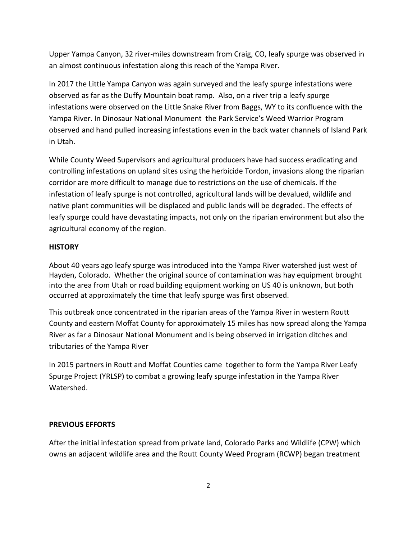Upper Yampa Canyon, 32 river-miles downstream from Craig, CO, leafy spurge was observed in an almost continuous infestation along this reach of the Yampa River.

In 2017 the Little Yampa Canyon was again surveyed and the leafy spurge infestations were observed as far as the Duffy Mountain boat ramp. Also, on a river trip a leafy spurge infestations were observed on the Little Snake River from Baggs, WY to its confluence with the Yampa River. In Dinosaur National Monument the Park Service's Weed Warrior Program observed and hand pulled increasing infestations even in the back water channels of Island Park in Utah.

While County Weed Supervisors and agricultural producers have had success eradicating and controlling infestations on upland sites using the herbicide Tordon, invasions along the riparian corridor are more difficult to manage due to restrictions on the use of chemicals. If the infestation of leafy spurge is not controlled, agricultural lands will be devalued, wildlife and native plant communities will be displaced and public lands will be degraded. The effects of leafy spurge could have devastating impacts, not only on the riparian environment but also the agricultural economy of the region.

# **HISTORY**

About 40 years ago leafy spurge was introduced into the Yampa River watershed just west of Hayden, Colorado. Whether the original source of contamination was hay equipment brought into the area from Utah or road building equipment working on US 40 is unknown, but both occurred at approximately the time that leafy spurge was first observed.

This outbreak once concentrated in the riparian areas of the Yampa River in western Routt County and eastern Moffat County for approximately 15 miles has now spread along the Yampa River as far a Dinosaur National Monument and is being observed in irrigation ditches and tributaries of the Yampa River

In 2015 partners in Routt and Moffat Counties came together to form the Yampa River Leafy Spurge Project (YRLSP) to combat a growing leafy spurge infestation in the Yampa River Watershed.

## **PREVIOUS EFFORTS**

After the initial infestation spread from private land, Colorado Parks and Wildlife (CPW) which owns an adjacent wildlife area and the Routt County Weed Program (RCWP) began treatment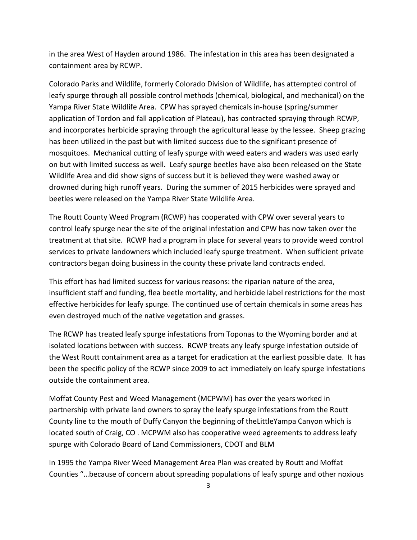in the area West of Hayden around 1986. The infestation in this area has been designated a containment area by RCWP.

Colorado Parks and Wildlife, formerly Colorado Division of Wildlife, has attempted control of leafy spurge through all possible control methods (chemical, biological, and mechanical) on the Yampa River State Wildlife Area. CPW has sprayed chemicals in-house (spring/summer application of Tordon and fall application of Plateau), has contracted spraying through RCWP, and incorporates herbicide spraying through the agricultural lease by the lessee. Sheep grazing has been utilized in the past but with limited success due to the significant presence of mosquitoes. Mechanical cutting of leafy spurge with weed eaters and waders was used early on but with limited success as well. Leafy spurge beetles have also been released on the State Wildlife Area and did show signs of success but it is believed they were washed away or drowned during high runoff years. During the summer of 2015 herbicides were sprayed and beetles were released on the Yampa River State Wildlife Area.

The Routt County Weed Program (RCWP) has cooperated with CPW over several years to control leafy spurge near the site of the original infestation and CPW has now taken over the treatment at that site. RCWP had a program in place for several years to provide weed control services to private landowners which included leafy spurge treatment. When sufficient private contractors began doing business in the county these private land contracts ended.

This effort has had limited success for various reasons: the riparian nature of the area, insufficient staff and funding, flea beetle mortality, and herbicide label restrictions for the most effective herbicides for leafy spurge. The continued use of certain chemicals in some areas has even destroyed much of the native vegetation and grasses.

The RCWP has treated leafy spurge infestations from Toponas to the Wyoming border and at isolated locations between with success. RCWP treats any leafy spurge infestation outside of the West Routt containment area as a target for eradication at the earliest possible date. It has been the specific policy of the RCWP since 2009 to act immediately on leafy spurge infestations outside the containment area.

Moffat County Pest and Weed Management (MCPWM) has over the years worked in partnership with private land owners to spray the leafy spurge infestations from the Routt County line to the mouth of Duffy Canyon the beginning of theLittleYampa Canyon which is located south of Craig, CO . MCPWM also has cooperative weed agreements to address leafy spurge with Colorado Board of Land Commissioners, CDOT and BLM

In 1995 the Yampa River Weed Management Area Plan was created by Routt and Moffat Counties "…because of concern about spreading populations of leafy spurge and other noxious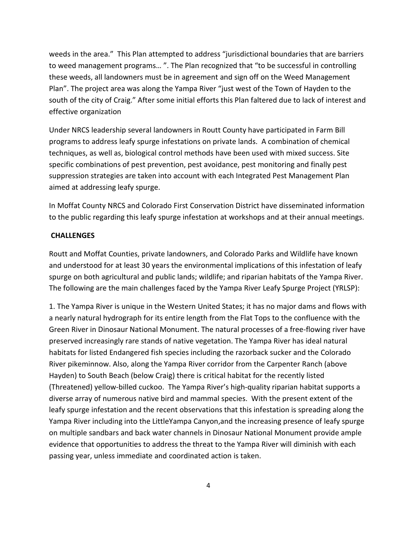weeds in the area." This Plan attempted to address "jurisdictional boundaries that are barriers to weed management programs… ". The Plan recognized that "to be successful in controlling these weeds, all landowners must be in agreement and sign off on the Weed Management Plan". The project area was along the Yampa River "just west of the Town of Hayden to the south of the city of Craig." After some initial efforts this Plan faltered due to lack of interest and effective organization

Under NRCS leadership several landowners in Routt County have participated in Farm Bill programs to address leafy spurge infestations on private lands. A combination of chemical techniques, as well as, biological control methods have been used with mixed success. Site specific combinations of pest prevention, pest avoidance, pest monitoring and finally pest suppression strategies are taken into account with each Integrated Pest Management Plan aimed at addressing leafy spurge.

In Moffat County NRCS and Colorado First Conservation District have disseminated information to the public regarding this leafy spurge infestation at workshops and at their annual meetings.

#### **CHALLENGES**

Routt and Moffat Counties, private landowners, and Colorado Parks and Wildlife have known and understood for at least 30 years the environmental implications of this infestation of leafy spurge on both agricultural and public lands; wildlife; and riparian habitats of the Yampa River. The following are the main challenges faced by the Yampa River Leafy Spurge Project (YRLSP):

1. The Yampa River is unique in the Western United States; it has no major dams and flows with a nearly natural hydrograph for its entire length from the Flat Tops to the confluence with the Green River in Dinosaur National Monument. The natural processes of a free-flowing river have preserved increasingly rare stands of native vegetation. The Yampa River has ideal natural habitats for listed Endangered fish species including the razorback sucker and the Colorado River pikeminnow. Also, along the Yampa River corridor from the Carpenter Ranch (above Hayden) to South Beach (below Craig) there is critical habitat for the recently listed (Threatened) yellow-billed cuckoo. The Yampa River's high-quality riparian habitat supports a diverse array of numerous native bird and mammal species. With the present extent of the leafy spurge infestation and the recent observations that this infestation is spreading along the Yampa River including into the LittleYampa Canyon,and the increasing presence of leafy spurge on multiple sandbars and back water channels in Dinosaur National Monument provide ample evidence that opportunities to address the threat to the Yampa River will diminish with each passing year, unless immediate and coordinated action is taken.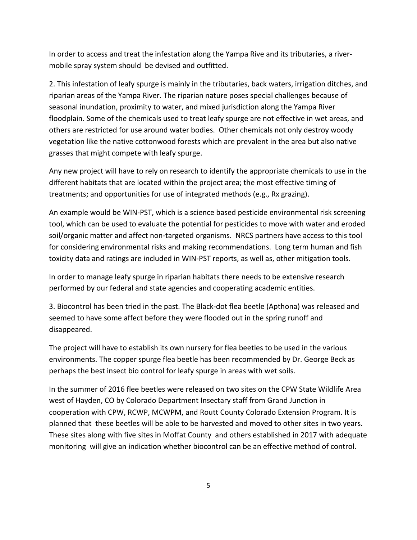In order to access and treat the infestation along the Yampa Rive and its tributaries, a rivermobile spray system should be devised and outfitted.

2. This infestation of leafy spurge is mainly in the tributaries, back waters, irrigation ditches, and riparian areas of the Yampa River. The riparian nature poses special challenges because of seasonal inundation, proximity to water, and mixed jurisdiction along the Yampa River floodplain. Some of the chemicals used to treat leafy spurge are not effective in wet areas, and others are restricted for use around water bodies. Other chemicals not only destroy woody vegetation like the native cottonwood forests which are prevalent in the area but also native grasses that might compete with leafy spurge.

Any new project will have to rely on research to identify the appropriate chemicals to use in the different habitats that are located within the project area; the most effective timing of treatments; and opportunities for use of integrated methods (e.g., Rx grazing).

An example would be WIN-PST, which is a science based pesticide environmental risk screening tool, which can be used to evaluate the potential for pesticides to move with water and eroded soil/organic matter and affect non-targeted organisms. NRCS partners have access to this tool for considering environmental risks and making recommendations. Long term human and fish toxicity data and ratings are included in WIN-PST reports, as well as, other mitigation tools.

In order to manage leafy spurge in riparian habitats there needs to be extensive research performed by our federal and state agencies and cooperating academic entities.

3. Biocontrol has been tried in the past. The Black-dot flea beetle (Apthona) was released and seemed to have some affect before they were flooded out in the spring runoff and disappeared.

The project will have to establish its own nursery for flea beetles to be used in the various environments. The copper spurge flea beetle has been recommended by Dr. George Beck as perhaps the best insect bio control for leafy spurge in areas with wet soils.

In the summer of 2016 flee beetles were released on two sites on the CPW State Wildlife Area west of Hayden, CO by Colorado Department Insectary staff from Grand Junction in cooperation with CPW, RCWP, MCWPM, and Routt County Colorado Extension Program. It is planned that these beetles will be able to be harvested and moved to other sites in two years. These sites along with five sites in Moffat County and others established in 2017 with adequate monitoring will give an indication whether biocontrol can be an effective method of control.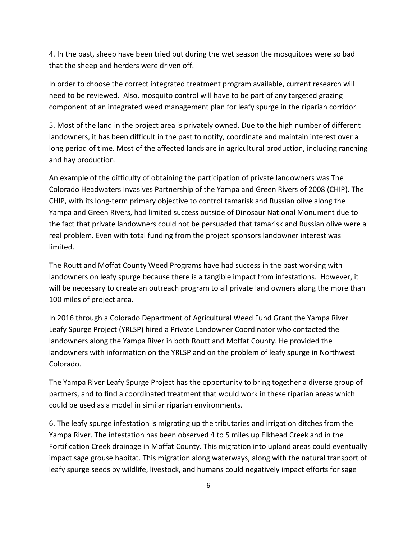4. In the past, sheep have been tried but during the wet season the mosquitoes were so bad that the sheep and herders were driven off.

In order to choose the correct integrated treatment program available, current research will need to be reviewed. Also, mosquito control will have to be part of any targeted grazing component of an integrated weed management plan for leafy spurge in the riparian corridor.

5. Most of the land in the project area is privately owned. Due to the high number of different landowners, it has been difficult in the past to notify, coordinate and maintain interest over a long period of time. Most of the affected lands are in agricultural production, including ranching and hay production.

An example of the difficulty of obtaining the participation of private landowners was The Colorado Headwaters Invasives Partnership of the Yampa and Green Rivers of 2008 (CHIP). The CHIP, with its long-term primary objective to control tamarisk and Russian olive along the Yampa and Green Rivers, had limited success outside of Dinosaur National Monument due to the fact that private landowners could not be persuaded that tamarisk and Russian olive were a real problem. Even with total funding from the project sponsors landowner interest was limited.

The Routt and Moffat County Weed Programs have had success in the past working with landowners on leafy spurge because there is a tangible impact from infestations. However, it will be necessary to create an outreach program to all private land owners along the more than 100 miles of project area.

In 2016 through a Colorado Department of Agricultural Weed Fund Grant the Yampa River Leafy Spurge Project (YRLSP) hired a Private Landowner Coordinator who contacted the landowners along the Yampa River in both Routt and Moffat County. He provided the landowners with information on the YRLSP and on the problem of leafy spurge in Northwest Colorado.

The Yampa River Leafy Spurge Project has the opportunity to bring together a diverse group of partners, and to find a coordinated treatment that would work in these riparian areas which could be used as a model in similar riparian environments.

6. The leafy spurge infestation is migrating up the tributaries and irrigation ditches from the Yampa River. The infestation has been observed 4 to 5 miles up Elkhead Creek and in the Fortification Creek drainage in Moffat County. This migration into upland areas could eventually impact sage grouse habitat. This migration along waterways, along with the natural transport of leafy spurge seeds by wildlife, livestock, and humans could negatively impact efforts for sage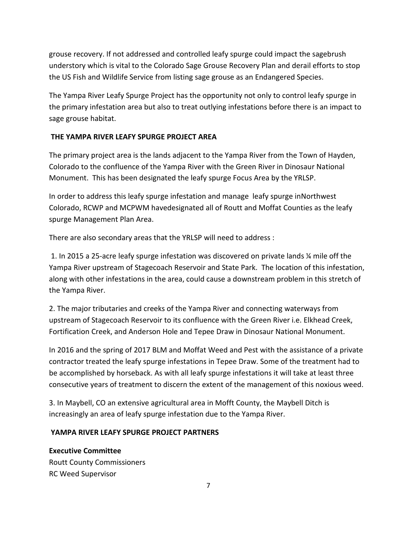grouse recovery. If not addressed and controlled leafy spurge could impact the sagebrush understory which is vital to the Colorado Sage Grouse Recovery Plan and derail efforts to stop the US Fish and Wildlife Service from listing sage grouse as an Endangered Species.

The Yampa River Leafy Spurge Project has the opportunity not only to control leafy spurge in the primary infestation area but also to treat outlying infestations before there is an impact to sage grouse habitat.

# **THE YAMPA RIVER LEAFY SPURGE PROJECT AREA**

The primary project area is the lands adjacent to the Yampa River from the Town of Hayden, Colorado to the confluence of the Yampa River with the Green River in Dinosaur National Monument. This has been designated the leafy spurge Focus Area by the YRLSP.

In order to address this leafy spurge infestation and manage leafy spurge inNorthwest Colorado, RCWP and MCPWM havedesignated all of Routt and Moffat Counties as the leafy spurge Management Plan Area.

There are also secondary areas that the YRLSP will need to address :

1. In 2015 a 25-acre leafy spurge infestation was discovered on private lands ¼ mile off the Yampa River upstream of Stagecoach Reservoir and State Park. The location of this infestation, along with other infestations in the area, could cause a downstream problem in this stretch of the Yampa River.

2. The major tributaries and creeks of the Yampa River and connecting waterways from upstream of Stagecoach Reservoir to its confluence with the Green River i.e. Elkhead Creek, Fortification Creek, and Anderson Hole and Tepee Draw in Dinosaur National Monument.

In 2016 and the spring of 2017 BLM and Moffat Weed and Pest with the assistance of a private contractor treated the leafy spurge infestations in Tepee Draw. Some of the treatment had to be accomplished by horseback. As with all leafy spurge infestations it will take at least three consecutive years of treatment to discern the extent of the management of this noxious weed.

3. In Maybell, CO an extensive agricultural area in Mofft County, the Maybell Ditch is increasingly an area of leafy spurge infestation due to the Yampa River.

## **YAMPA RIVER LEAFY SPURGE PROJECT PARTNERS**

**Executive Committee** Routt County Commissioners RC Weed Supervisor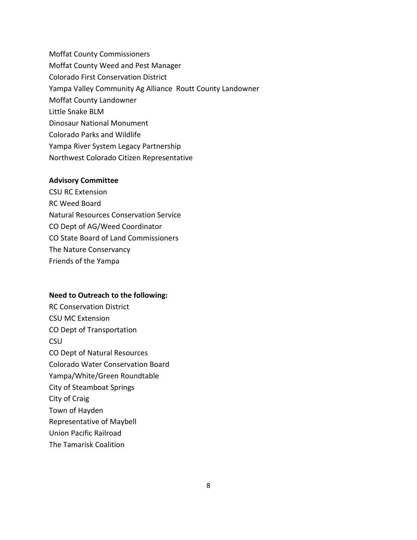Moffat County Commissioners Moffat County Weed and Pest Manager Colorado First Conservation District Yampa Valley Community Ag Alliance Routt County Landowner Moffat County Landowner Little Snake BLM Dinosaur National Monument Colorado Parks and Wildlife Yampa River System Legacy Partnership Northwest Colorado Citizen Representative

#### **Advisory Committee**

CSU RC Extension RC Weed Board Natural Resources Conservation Service CO Dept of AG/Weed Coordinator CO State Board of Land Commissioners The Nature Conservancy Friends of the Yampa

#### **Need to Outreach to the following:**

RC Conservation District CSU MC Extension CO Dept of Transportation CSU CO Dept of Natural Resources Colorado Water Conservation Board Yampa/White/Green Roundtable City of Steamboat Springs City of Craig Town of Hayden Representative of Maybell Union Pacific Railroad The Tamarisk Coalition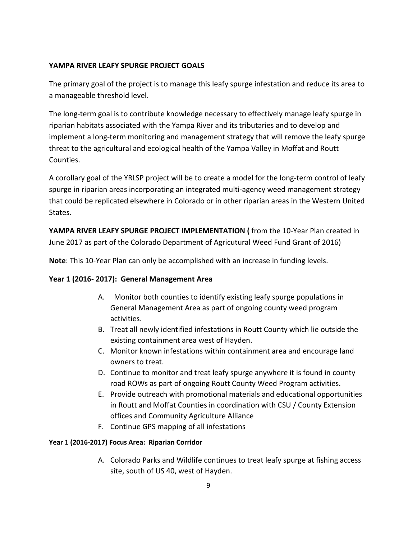# **YAMPA RIVER LEAFY SPURGE PROJECT GOALS**

The primary goal of the project is to manage this leafy spurge infestation and reduce its area to a manageable threshold level.

The long-term goal is to contribute knowledge necessary to effectively manage leafy spurge in riparian habitats associated with the Yampa River and its tributaries and to develop and implement a long-term monitoring and management strategy that will remove the leafy spurge threat to the agricultural and ecological health of the Yampa Valley in Moffat and Routt Counties.

A corollary goal of the YRLSP project will be to create a model for the long-term control of leafy spurge in riparian areas incorporating an integrated multi-agency weed management strategy that could be replicated elsewhere in Colorado or in other riparian areas in the Western United States.

**YAMPA RIVER LEAFY SPURGE PROJECT IMPLEMENTATION (** from the 10-Year Plan created in June 2017 as part of the Colorado Department of Agricutural Weed Fund Grant of 2016)

**Note**: This 10-Year Plan can only be accomplished with an increase in funding levels.

## **Year 1 (2016- 2017): General Management Area**

- A. Monitor both counties to identify existing leafy spurge populations in General Management Area as part of ongoing county weed program activities.
- B. Treat all newly identified infestations in Routt County which lie outside the existing containment area west of Hayden.
- C. Monitor known infestations within containment area and encourage land owners to treat.
- D. Continue to monitor and treat leafy spurge anywhere it is found in county road ROWs as part of ongoing Routt County Weed Program activities.
- E. Provide outreach with promotional materials and educational opportunities in Routt and Moffat Counties in coordination with CSU / County Extension offices and Community Agriculture Alliance
- F. Continue GPS mapping of all infestations

## **Year 1 (2016-2017) Focus Area: Riparian Corridor**

A. Colorado Parks and Wildlife continues to treat leafy spurge at fishing access site, south of US 40, west of Hayden.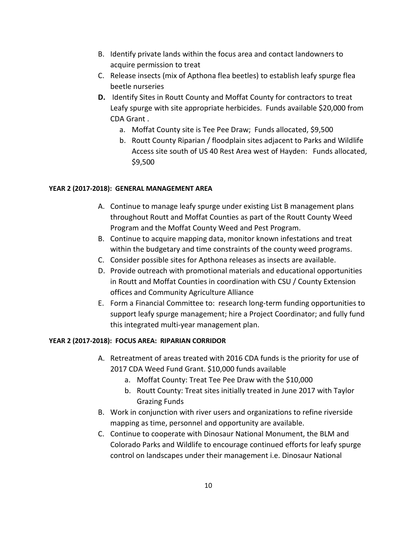- B. Identify private lands within the focus area and contact landowners to acquire permission to treat
- C. Release insects (mix of Apthona flea beetles) to establish leafy spurge flea beetle nurseries
- **D.** Identify Sites in Routt County and Moffat County for contractors to treat Leafy spurge with site appropriate herbicides.Funds available \$20,000 from CDA Grant .
	- a. Moffat County site is Tee Pee Draw; Funds allocated, \$9,500
	- b. Routt County Riparian / floodplain sites adjacent to Parks and Wildlife Access site south of US 40 Rest Area west of Hayden: Funds allocated, \$9,500

#### **YEAR 2 (2017-2018): GENERAL MANAGEMENT AREA**

- A. Continue to manage leafy spurge under existing List B management plans throughout Routt and Moffat Counties as part of the Routt County Weed Program and the Moffat County Weed and Pest Program.
- B. Continue to acquire mapping data, monitor known infestations and treat within the budgetary and time constraints of the county weed programs.
- C. Consider possible sites for Apthona releases as insects are available.
- D. Provide outreach with promotional materials and educational opportunities in Routt and Moffat Counties in coordination with CSU / County Extension offices and Community Agriculture Alliance
- E. Form a Financial Committee to: research long-term funding opportunities to support leafy spurge management; hire a Project Coordinator; and fully fund this integrated multi-year management plan.

## **YEAR 2 (2017-2018): FOCUS AREA: RIPARIAN CORRIDOR**

- A. Retreatment of areas treated with 2016 CDA funds is the priority for use of 2017 CDA Weed Fund Grant. \$10,000 funds available
	- a. Moffat County: Treat Tee Pee Draw with the \$10,000
	- b. Routt County: Treat sites initially treated in June 2017 with Taylor Grazing Funds
- B. Work in conjunction with river users and organizations to refine riverside mapping as time, personnel and opportunity are available.
- C. Continue to cooperate with Dinosaur National Monument, the BLM and Colorado Parks and Wildlife to encourage continued efforts for leafy spurge control on landscapes under their management i.e. Dinosaur National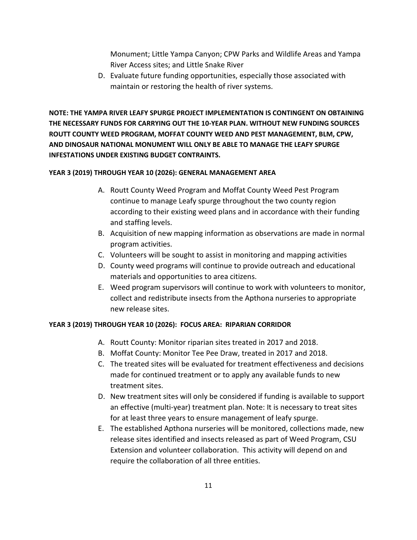Monument; Little Yampa Canyon; CPW Parks and Wildlife Areas and Yampa River Access sites; and Little Snake River

D. Evaluate future funding opportunities, especially those associated with maintain or restoring the health of river systems.

**NOTE: THE YAMPA RIVER LEAFY SPURGE PROJECT IMPLEMENTATION IS CONTINGENT ON OBTAINING THE NECESSARY FUNDS FOR CARRYING OUT THE 10-YEAR PLAN. WITHOUT NEW FUNDING SOURCES ROUTT COUNTY WEED PROGRAM, MOFFAT COUNTY WEED AND PEST MANAGEMENT, BLM, CPW, AND DINOSAUR NATIONAL MONUMENT WILL ONLY BE ABLE TO MANAGE THE LEAFY SPURGE INFESTATIONS UNDER EXISTING BUDGET CONTRAINTS.**

#### **YEAR 3 (2019) THROUGH YEAR 10 (2026): GENERAL MANAGEMENT AREA**

- A. Routt County Weed Program and Moffat County Weed Pest Program continue to manage Leafy spurge throughout the two county region according to their existing weed plans and in accordance with their funding and staffing levels.
- B. Acquisition of new mapping information as observations are made in normal program activities.
- C. Volunteers will be sought to assist in monitoring and mapping activities
- D. County weed programs will continue to provide outreach and educational materials and opportunities to area citizens.
- E. Weed program supervisors will continue to work with volunteers to monitor, collect and redistribute insects from the Apthona nurseries to appropriate new release sites.

#### **YEAR 3 (2019) THROUGH YEAR 10 (2026): FOCUS AREA: RIPARIAN CORRIDOR**

- A. Routt County: Monitor riparian sites treated in 2017 and 2018.
- B. Moffat County: Monitor Tee Pee Draw, treated in 2017 and 2018.
- C. The treated sites will be evaluated for treatment effectiveness and decisions made for continued treatment or to apply any available funds to new treatment sites.
- D. New treatment sites will only be considered if funding is available to support an effective (multi-year) treatment plan. Note: It is necessary to treat sites for at least three years to ensure management of leafy spurge.
- E. The established Apthona nurseries will be monitored, collections made, new release sites identified and insects released as part of Weed Program, CSU Extension and volunteer collaboration. This activity will depend on and require the collaboration of all three entities.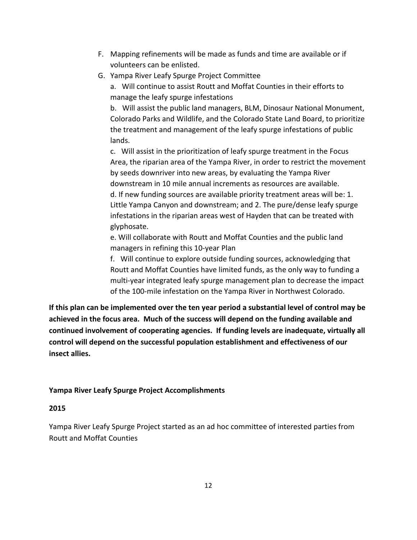- F. Mapping refinements will be made as funds and time are available or if volunteers can be enlisted.
- G. Yampa River Leafy Spurge Project Committee

a. Will continue to assist Routt and Moffat Counties in their efforts to manage the leafy spurge infestations

b. Will assist the public land managers, BLM, Dinosaur National Monument, Colorado Parks and Wildlife, and the Colorado State Land Board, to prioritize the treatment and management of the leafy spurge infestations of public lands.

c. Will assist in the prioritization of leafy spurge treatment in the Focus Area, the riparian area of the Yampa River, in order to restrict the movement by seeds downriver into new areas, by evaluating the Yampa River downstream in 10 mile annual increments as resources are available. d. If new funding sources are available priority treatment areas will be: 1. Little Yampa Canyon and downstream; and 2. The pure/dense leafy spurge infestations in the riparian areas west of Hayden that can be treated with glyphosate.

e. Will collaborate with Routt and Moffat Counties and the public land managers in refining this 10-year Plan

f. Will continue to explore outside funding sources, acknowledging that Routt and Moffat Counties have limited funds, as the only way to funding a multi-year integrated leafy spurge management plan to decrease the impact of the 100-mile infestation on the Yampa River in Northwest Colorado.

**If this plan can be implemented over the ten year period a substantial level of control may be achieved in the focus area. Much of the success will depend on the funding available and continued involvement of cooperating agencies. If funding levels are inadequate, virtually all control will depend on the successful population establishment and effectiveness of our insect allies.**

# **Yampa River Leafy Spurge Project Accomplishments**

#### **2015**

Yampa River Leafy Spurge Project started as an ad hoc committee of interested parties from Routt and Moffat Counties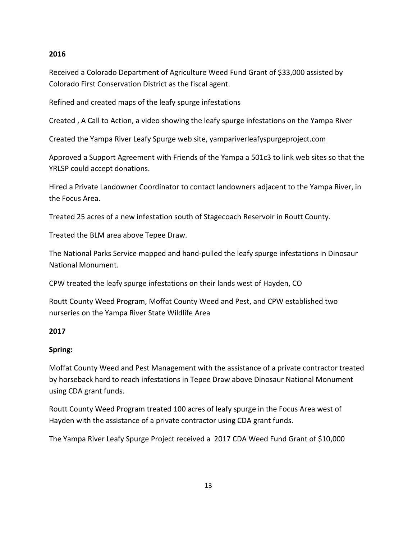## **2016**

Received a Colorado Department of Agriculture Weed Fund Grant of \$33,000 assisted by Colorado First Conservation District as the fiscal agent.

Refined and created maps of the leafy spurge infestations

Created , A Call to Action, a video showing the leafy spurge infestations on the Yampa River

Created the Yampa River Leafy Spurge web site, yampariverleafyspurgeproject.com

Approved a Support Agreement with Friends of the Yampa a 501c3 to link web sites so that the YRLSP could accept donations.

Hired a Private Landowner Coordinator to contact landowners adjacent to the Yampa River, in the Focus Area.

Treated 25 acres of a new infestation south of Stagecoach Reservoir in Routt County.

Treated the BLM area above Tepee Draw.

The National Parks Service mapped and hand-pulled the leafy spurge infestations in Dinosaur National Monument.

CPW treated the leafy spurge infestations on their lands west of Hayden, CO

Routt County Weed Program, Moffat County Weed and Pest, and CPW established two nurseries on the Yampa River State Wildlife Area

## **2017**

## **Spring:**

Moffat County Weed and Pest Management with the assistance of a private contractor treated by horseback hard to reach infestations in Tepee Draw above Dinosaur National Monument using CDA grant funds.

Routt County Weed Program treated 100 acres of leafy spurge in the Focus Area west of Hayden with the assistance of a private contractor using CDA grant funds.

The Yampa River Leafy Spurge Project received a 2017 CDA Weed Fund Grant of \$10,000